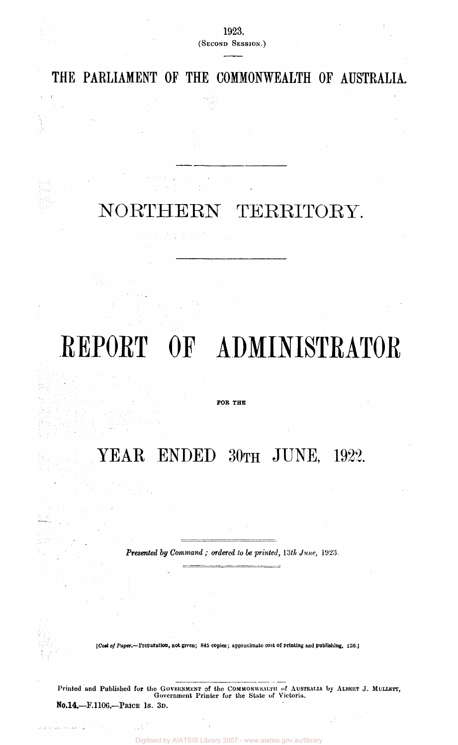# NORTHERN TERRITORY.

1923. (SECOND SESSION.)

THE PARLIAMENT OF THE COMMONWEALTH OF AUSTRALIA.

î.  $\mathcal{A}=\mathcal{A}$ 

i<br>Prod kali

in.<br>Ste

## REPORT OF ADMINISTRATOR

#### FOR THE

## YEAR ENDED 30TH JUNE, 1922.

*Presented by Command ; ordered to be printed, l3th June,* 1923.

[Cost of Paper.—Preparation, not given; 845 copies; approximate cost of printing and publishing, £36.)

Printed and Published for the GOVERNMENT of the COMMONWEALTH of AUSTRALIA by ALBERT J. MULLETT, Government Printer for the State of Victoria. No.14— F.1106— PRICE 1S. 3D.

 $\sim$ 

.<br>เหตุกลางการประกอบการสอบ (1971)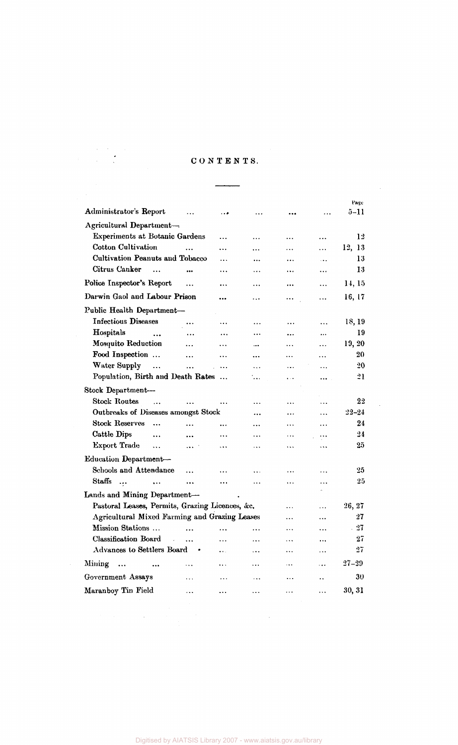# CONTENTS.

 $\frac{1}{2}$  and  $\frac{1}{2}$  and  $\frac{1}{2}$  and  $\frac{1}{2}$ 

| Administrator's Report                          |                |           |           |           | .         | $5 - 11$  |
|-------------------------------------------------|----------------|-----------|-----------|-----------|-----------|-----------|
| Agricultural Department-                        |                |           |           |           |           |           |
| Experiments at Botanic Gardens                  |                | .         | .         |           |           | 12        |
| <b>Cotton Cultivation</b>                       |                | .         | .         | .         | $\ddotsc$ | 12, 13    |
| <b>Cultivation Peanuts and Tobacco</b>          |                | $\ddotsc$ |           | .         | $\ddotsc$ | 13        |
| Citrus Canker<br>$\ddotsc$                      |                |           |           |           |           | 13        |
| Police Inspector's Report                       | .              |           |           |           |           | 14, 15    |
| Darwin Gaol and Labour Prison                   |                |           | .         |           | .         | 16, 17    |
| Public Health Department-                       |                |           |           |           |           |           |
| <b>Infectious Diseases</b>                      |                | $\ddotsc$ | .         |           |           | 18, 19    |
| Hospitals                                       | $\cdots$       |           | $\ddotsc$ |           |           | 19        |
| <b>Mosquito Reduction</b>                       | $\ddotsc$      | .         |           | .         | $\ddotsc$ | 19, 20    |
| Food Inspection                                 | $\ddotsc$      | $\cdots$  |           |           | .         | 20        |
| <b>Water Supply</b><br>$\ddots$                 | $\cdots$       | $\cdots$  | $\ddotsc$ | .         | .         | 20        |
| Population, Birth and Death Rates               |                |           |           | $\ddotsc$ | $\cdots$  | 21        |
| Stock Department-                               |                |           |           |           |           |           |
| <b>Stock Routes</b><br>$\cdots$                 |                | $\ldots$  | $\cdots$  | .         | $\ddotsc$ | 22        |
| Outbreaks of Diseases amongst Stock<br>.<br>    |                |           |           |           | $\cdots$  | $22 - 24$ |
| <b>Stock Reserves</b><br>$\ddotsc$              |                |           |           |           |           | 24        |
| <b>Cattle Dips</b><br>$\cdots$                  | $\cdots$       |           |           | $\cdots$  |           | 24        |
| <b>Export Trade</b><br>$\ddotsc$                | $\mathbf{1.1}$ | $\ddotsc$ | $\ddotsc$ | .         |           | $25\,$    |
| Education Department-                           |                |           |           |           |           |           |
| Schools and Attendance                          | .              |           | .         | .         | .         | 25        |
| Staffs<br>$\sim$<br>$\cdots$                    | $\cdots$       |           | $\cdots$  | $\ddotsc$ |           | 25        |
| Lands and Mining Department-                    |                |           |           |           |           |           |
| Pastoral Leases, Permits, Grazing Licences, &c. |                |           |           | .         | .         | 26, 27    |
| Agricultural Mixed Farming and Grazing Leases   |                |           |           | .         |           | 27        |
| Mission Stations                                |                |           |           | $\cdots$  |           | $-27$     |
| <b>Classification Board</b>                     | $\ddotsc$      | $\ldots$  | .         | $\ddotsc$ | $\cdots$  | 27        |
| Advances to Settlers Board                      |                | $\ddotsc$ | $\ddotsc$ | .         | .         | 27        |
| Mining $\cdots$                                 |                |           |           |           |           | $27 - 29$ |
| Government Assays                               |                |           |           |           |           | 30        |
| Maranboy Tin Field                              |                |           |           |           |           | 30, 31    |
|                                                 |                |           |           |           |           |           |